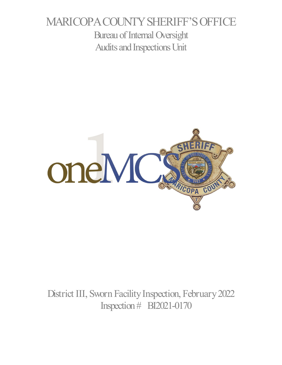# MARICOPA COUNTY SHERIFF'S OFFICE Bureau of Internal Oversight Audits and Inspections Unit



District III, Sworn Facility Inspection, February 2022 Inspection # BI2021-0170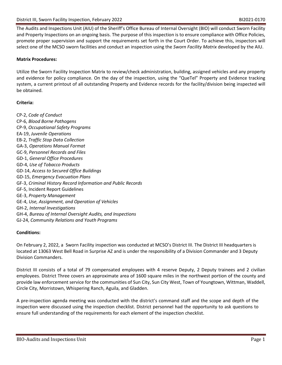The Audits and Inspections Unit (AIU) of the Sheriff's Office Bureau of Internal Oversight (BIO) will conduct Sworn Facility and Property Inspections on an ongoing basis. The purpose of this inspection is to ensure compliance with Office Policies, promote proper supervision and support the requirements set forth in the Court Order. To achieve this, inspectors will select one of the MCSO sworn facilities and conduct an inspection using the *Sworn Facility Matrix* developed by the AIU.

## **Matrix Procedures:**

Utilize the Sworn Facility Inspection Matrix to review/check administration, building, assigned vehicles and any property and evidence for policy compliance. On the day of the inspection, using the "QueTel" Property and Evidence tracking system, a current printout of all outstanding Property and Evidence records for the facility/division being inspected will be obtained.

## **Criteria:**

CP-2, *Code of Conduct* CP-6, *Blood Borne Pathogens* CP-9, *Occupational Safety Programs* EA-19, *Juvenile Operations* EB-2, *Traffic Stop Data Collection* GA-3, *Operations Manual Format* GC-9, *Personnel Records and Files* GD-1, *General Office Procedures* GD-4, *Use of Tobacco Products* GD-14, *Access to Secured Office Buildings* GD-15, *Emergency Evacuation Plans* GF-3, *Criminal History Record Information and Public Records* GF-5, Incident Report Guidelines GE-3, *Property Management* GE-4, *Use, Assignment, and Operation of Vehicles* GH-2, *Internal Investigations* GH-4, *Bureau of Internal Oversight Audits, and Inspections* GJ-24, *Community Relations and Youth Programs*

## **Conditions:**

On February 2, 2022, a Sworn Facility inspection was conducted at MCSO's District III. The District III headquarters is located at 13063 West Bell Road in Surprise AZ and is under the responsibility of a Division Commander and 3 Deputy Division Commanders.

District III consists of a total of 79 compensated employees with 4 reserve Deputy, 2 Deputy trainees and 2 civilian employees. District Three covers an approximate area of 1600 square miles in the northwest portion of the county and provide law enforcement service for the communities of Sun City, Sun City West, Town of Youngtown, Wittman, Waddell, Circle City, Morristown, Whispering Ranch, Aguila, and Gladden.

A pre-inspection agenda meeting was conducted with the district's command staff and the scope and depth of the inspection were discussed using the inspection checklist. District personnel had the opportunity to ask questions to ensure full understanding of the requirements for each element of the inspection checklist.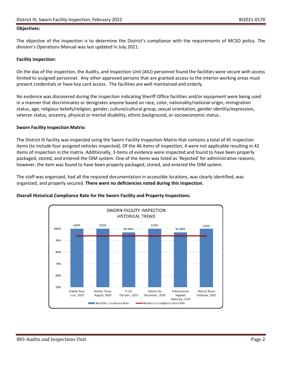#### **Objectives:**

The objective of the inspection is to determine the District's compliance with the requirements of MCSO policy. The division's Operations Manual was last updated in July 2021.

#### **Facility Inspection:**

On the day of the inspection, the Audits, and Inspection Unit (AIU) personnel found the facilities were secure with access limited to assigned personnel. Any other approved persons that are granted access to the interior working areas must present credentials or have key card access. The facilities are well maintained and orderly.

No evidence was discovered during the inspection indicating Sheriff Office facilities and/or equipment were being used in a manner that discriminates or denigrates anyone based on race, color, nationality/national origin, immigration status, age, religious beliefs/religion, gender, culture/cultural group, sexual orientation, gender identity/expression, veteran status, ancestry, physical or mental disability, ethnic background, or socioeconomic status..

#### **Sworn Facility Inspection Matrix:**

The District III facility was inspected using the Sworn Facility Inspection Matrix that contains a total of 45 inspection items (to include four assigned vehicles inspected). Of the 46 items of inspection, 4 were not applicable resulting in 42 items of inspection in the matrix. Additionally, 3 items of evidence were inspected and found to have been properly packaged, stored, and entered the OIM system. One of the items was listed as 'Rejected' for administrative reasons; however, the item was found to have been properly packaged, stored, and entered the OIM system.

The staff was organized, had all the required documentation in accessible locations, was clearly identified, was organized, and properly secured. **There were no deficiencies noted during this inspection.**